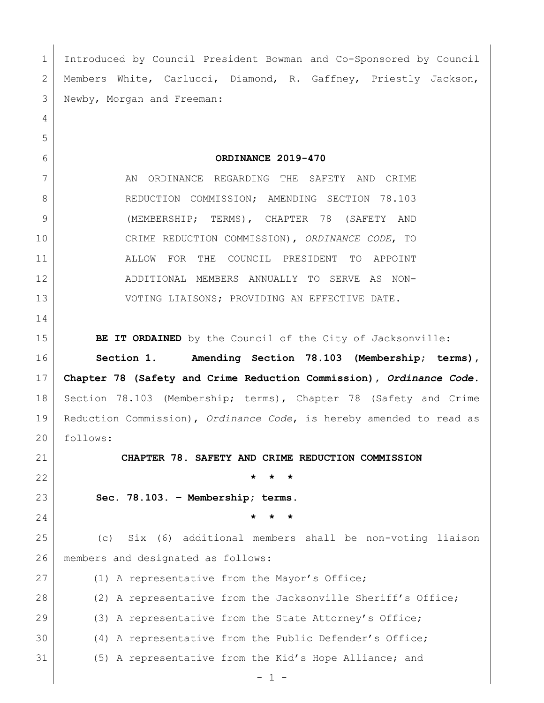Introduced by Council President Bowman and Co-Sponsored by Council Members White, Carlucci, Diamond, R. Gaffney, Priestly Jackson, Newby, Morgan and Freeman: **ORDINANCE 2019-470** 7 AN ORDINANCE REGARDING THE SAFETY AND CRIME 8 REDUCTION COMMISSION; AMENDING SECTION 78.103 (MEMBERSHIP; TERMS), CHAPTER 78 (SAFETY AND CRIME REDUCTION COMMISSION), *ORDINANCE CODE*, TO ALLOW FOR THE COUNCIL PRESIDENT TO APPOINT ADDITIONAL MEMBERS ANNUALLY TO SERVE AS NON-13 VOTING LIAISONS; PROVIDING AN EFFECTIVE DATE. **BE IT ORDAINED** by the Council of the City of Jacksonville: **Section 1**. **Amending Section 78.103 (Membership; terms), Chapter 78 (Safety and Crime Reduction Commission),** *Ordinance Code.*  Section 78.103 (Membership; terms), Chapter 78 (Safety and Crime Reduction Commission), *Ordinance Code*, is hereby amended to read as follows: **CHAPTER 78. SAFETY AND CRIME REDUCTION COMMISSION \* \* \* Sec. 78.103. – Membership; terms. \* \* \*** (c) Six (6) additional members shall be non-voting liaison members and designated as follows: 27 (1) A representative from the Mayor's Office; 28 (2) A representative from the Jacksonville Sheriff's Office; 29 (3) A representative from the State Attorney's Office; (4) A representative from the Public Defender's Office; (5) A representative from the Kid's Hope Alliance; and

 $-1 -$